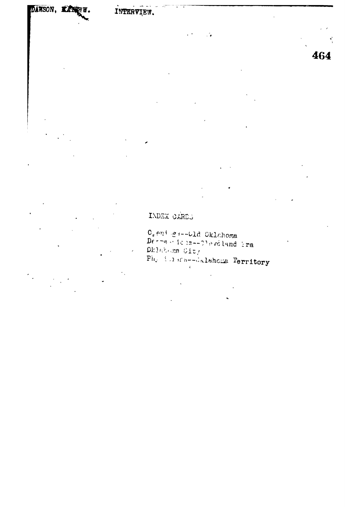INTERVIEW.

464

## LADEX CARDS

 $\mathbb{O}_\varepsilon$ eni ga--bld Oklahoma Derne die is--01sveland bra Dklabama City  $\overrightarrow{\mathrm{Ph}}_{\mathcal{L}}$  is not be evaluated as Territory  $\epsilon$ 

 $\mathcal{L}$ 

 $\overline{\phantom{a}}$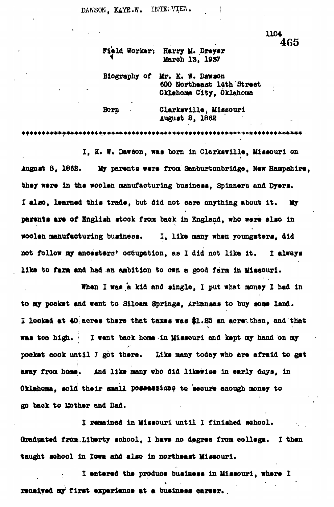DAWSON, KAYE.W. INTERVIEW.

> **1KH 465**

**Field Worker: Harry M. Dreyer**<br>March 13, 1937

 **Maroh IB,** *19Vf*

**Biography of Mr. K. 9. Daw son ^ Northaaat 14th Straat Oklahoma City, Oklahoma**

**Born ClarkaYilla, Missouri Auguot 8, 1862**

**i**

**\*\*\*\*\*\*\*\*\*\*\*\*\*\*\*\*\*\*4.\* \* \*\*\*\*\*\*\*\*\*\*\*\*\*\*\*\*\*\*\*\*\*\*\*\*\*\*\*\*\*\*\*\*\*\*\*\*\*\*\*\*\* \* \*\*\*\*\* \* .**

**I, K. W. Dawaon, was born in Clarkarilla, Missouri on August 8, 1868. My paranta war\* from Sanburtonbridga, Naw Hampahira,** they were in the woolen manufacturing business, Spinners and Dyers. I also, learned this trade, but did not care anything about it. My **paranta ara of Sngliah atook from baok in England, who wara alao in woolan manufacturing business. I, Ilka many whan youngatara, did not follow my anoaatars\* occupation, as I did not lika it. I always Ilka to fani and had an ambition to own a good farm in Missouri.**

**than I was a kid and single, I put what monay 1 had in to my pookat and want to Siloam Springa, Arkansas to buy aoma land\* I lookad at 40 aorts thara that taxaa was #1.85 an acra than, and that waa too high. > I want baok homa in Missouri and kapt my hand on my pookat oook until 7 got thara. Lika many today who ara afraid to gat** away from home. And like many who did likewise in early days, in Oklahoma, sold their small possessions to secure enough money to **go baok to Uothar and Dad.**

**I ramainad in Missouri until I finished school.** Graduated from Liberty school, I have no degree from college. I then **taught school in Iowa and alao in northaaat Missouri.**

**I antarad tha produoa buainaaa in Missouri, whara I saoalyaA ay first axparianoa at a buainaas oaraar..**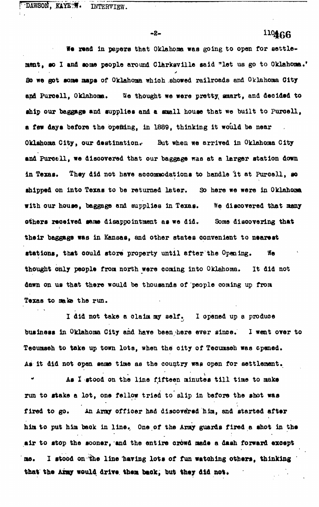DAWSON, KAYETW. INTERVIEW.

**- 2-**

## $110466$

We read in papers that Oklahoma was going to open for settlement, so I and some people around Clarksville said "let us go to Oklahoma." **So we got •one napa of Oklahoma which shoved railroads and Oklahoma City** and Purcell, Oklahoma. We thought we were pretty muart, and decided to ship our baggage and supplies and a small house that we built to Purcell, **a few days before the opefttng, in 1889, thinking it would be near Oklahona City, our destination.- But when we arrived in Oklahoma City** and Purcell, we discovered that our baggage was at a larger station down in Texas. They did not have accommodations to handle it at Purcell, so **shipped on into Texas to be returned later. So here we were in Oklahoma** with our house, baggage and supplies in Texas. We discovered that many others received same disappointment as we did. Some discovering that **their baggage was in Kansas, and other states convenient to nearest stations, that could store property until after the Opening. We thought only people from north were coming into Oklahoma. It did not dawn on us that there would be thousands of people coming up from** Texas to make the run.

**I did not take a claim my self. I opened up a produce business in Oklahoma City and have been here ever since. I went over to Teoumseh to take up town lots, when the city of Tecumseh was opened. As it did not open same time as the country was open for settlement.**

As I stood on the line fifteen minutes till time to make **run to stake a lot, one fellow tried to slip in before the shot was fired to go. An Army offioer had discovered him, and started after him to put him back in line. One of the Army guards fired a shot in the air to stop the sooner, and the entire crowd made a dash forward except** me. I stood on the line having lots of fun watching others, thinking that the Army would drive them back, but they did not.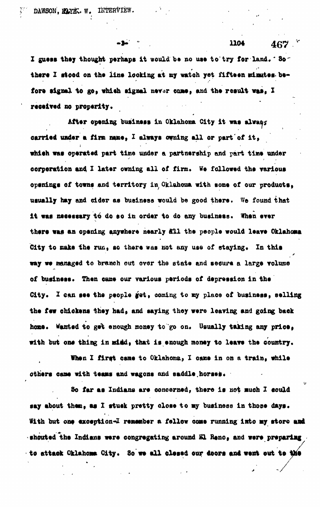DAWSON, **MAYE.** W. INTERVIEW.

I guess they thought perhaps it would be no use to try for land. \* So there I stood on the line looking at my watch yet fifteen minutes be**there I flood on the line looking at ay watch yet fifteen uiuutee be**fore signal to go, which signal never came, and the result was, I **fort signal to go, whieh signal nsvar came, and tho result was, I** received no properity.

**-a-** \* 1104 467

 **v**

v

**Aftor opsning business in Oklahoma City it was alwae?** carried under a firm mane, I always owning all or part of it, **carried under a fl m name, I always owning all or part\*of it,** which was operated part time under a partnership and part time under **whish was operated part time under a partnership and part tiBt under** corperation and I later owning all of firm. We followed the various **corporation and I later owning all of firm\* We followed the various** openings of towns and territory in Oklahoma with some of our products. **opening! of towns and territory in Oklahoma with some of our products»** usually hay and cider as business would be good there. We found that **usually hay and eider as business would be good there. We found that** it was necessary to do so in order to do any business. When ever **it was nsssssary ttj do so in order to do any business. When erer** there was an opening anywhere nearly all the people would leave Oklahoma **thsrs was an opsning anywhere nearly ill the people would leave Oklahoma** City to make the run, so there was not any use of staying. In this **City to oaks the nm , so there was not any use of staying\* In this** way we managed to branch out over the state and secure a large volume **w** we managed to branch out over the state and secure and secure and secure and secure and secure and secure a of business. Then came our various periods of depression in the **of buslnsss\* Then oame our various periods of dspression in the** City. I can see the people get, coming to my place of business, selling **City\* I ean sse the people yet» coming to ny place of business» selling** the few chickens they had, and saying they were leaving and going back **the few chickens they had, and saying they were leaving and going bask** home. Wanted to get enough money to go on. Usually taking any price. **horns\* Wanted to ge% enough money to go on\* Usually taking any pries,** with but one thing in midd, that is enough money to leave the country.

When I first came to Oklahoma, I came in on a train, while **When I first came to Oklahoma, X oane in on a train, while**

**others cane with teass and wagons and saddle.horses\***

**with but one thing in miad, that is enough money to leave the country.**

**So far as Indians are concerned, there is not »ueh X sould say about then, as I stusk pretty olose to «y business in those days\* With but one exception-I remember a fellow ease running into my store and** shouted the Indians were congregating around El Rene, and were preparing to attack Oklahoma City. So we all clesed our doors and went out to the